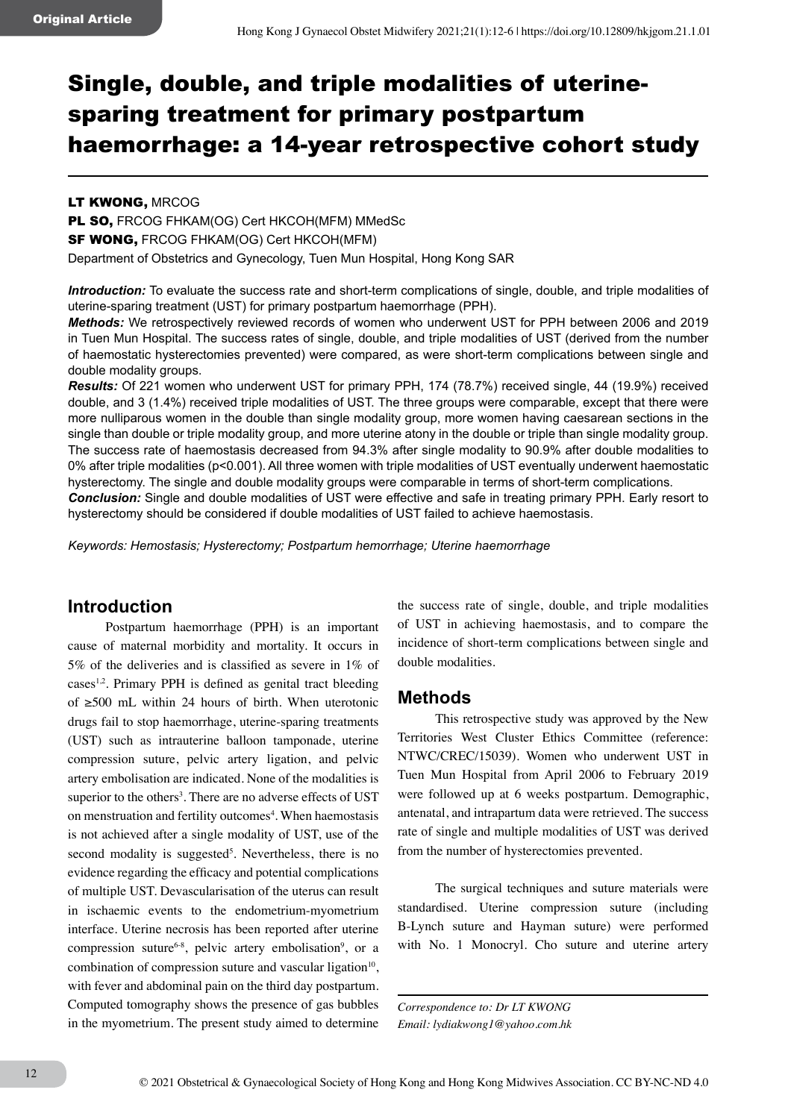# Single, double, and triple modalities of uterinesparing treatment for primary postpartum haemorrhage: a 14-year retrospective cohort study

#### LT KWONG, MRCOG

PL SO, FRCOG FHKAM(OG) Cert HKCOH(MFM) MMedSc **SF WONG, FRCOG FHKAM(OG) Cert HKCOH(MFM)** Department of Obstetrics and Gynecology, Tuen Mun Hospital, Hong Kong SAR

*Introduction:* To evaluate the success rate and short-term complications of single, double, and triple modalities of uterine-sparing treatment (UST) for primary postpartum haemorrhage (PPH).

*Methods:* We retrospectively reviewed records of women who underwent UST for PPH between 2006 and 2019 in Tuen Mun Hospital. The success rates of single, double, and triple modalities of UST (derived from the number of haemostatic hysterectomies prevented) were compared, as were short-term complications between single and double modality groups.

*Results:* Of 221 women who underwent UST for primary PPH, 174 (78.7%) received single, 44 (19.9%) received double, and 3 (1.4%) received triple modalities of UST. The three groups were comparable, except that there were more nulliparous women in the double than single modality group, more women having caesarean sections in the single than double or triple modality group, and more uterine atony in the double or triple than single modality group. The success rate of haemostasis decreased from 94.3% after single modality to 90.9% after double modalities to 0% after triple modalities (p<0.001). All three women with triple modalities of UST eventually underwent haemostatic hysterectomy. The single and double modality groups were comparable in terms of short-term complications.

*Conclusion:* Single and double modalities of UST were effective and safe in treating primary PPH. Early resort to hysterectomy should be considered if double modalities of UST failed to achieve haemostasis.

*Keywords: Hemostasis; Hysterectomy; Postpartum hemorrhage; Uterine haemorrhage*

## **Introduction**

Postpartum haemorrhage (PPH) is an important cause of maternal morbidity and mortality. It occurs in 5% of the deliveries and is classified as severe in 1% of cases<sup>1,2</sup>. Primary PPH is defined as genital tract bleeding of ≥500 mL within 24 hours of birth. When uterotonic drugs fail to stop haemorrhage, uterine-sparing treatments (UST) such as intrauterine balloon tamponade, uterine compression suture, pelvic artery ligation, and pelvic artery embolisation are indicated. None of the modalities is superior to the others<sup>3</sup>. There are no adverse effects of UST on menstruation and fertility outcomes<sup>4</sup>. When haemostasis is not achieved after a single modality of UST, use of the second modality is suggested<sup>5</sup>. Nevertheless, there is no evidence regarding the efficacy and potential complications of multiple UST. Devascularisation of the uterus can result in ischaemic events to the endometrium-myometrium interface. Uterine necrosis has been reported after uterine compression suture<sup>6-8</sup>, pelvic artery embolisation<sup>9</sup>, or a combination of compression suture and vascular ligation $10$ , with fever and abdominal pain on the third day postpartum. Computed tomography shows the presence of gas bubbles in the myometrium. The present study aimed to determine the success rate of single, double, and triple modalities of UST in achieving haemostasis, and to compare the incidence of short-term complications between single and double modalities.

#### **Methods**

This retrospective study was approved by the New Territories West Cluster Ethics Committee (reference: NTWC/CREC/15039). Women who underwent UST in Tuen Mun Hospital from April 2006 to February 2019 were followed up at 6 weeks postpartum. Demographic, antenatal, and intrapartum data were retrieved. The success rate of single and multiple modalities of UST was derived from the number of hysterectomies prevented.

The surgical techniques and suture materials were standardised. Uterine compression suture (including B-Lynch suture and Hayman suture) were performed with No. 1 Monocryl. Cho suture and uterine artery

*Correspondence to: Dr LT KWONG Email: lydiakwong1@yahoo.com.hk*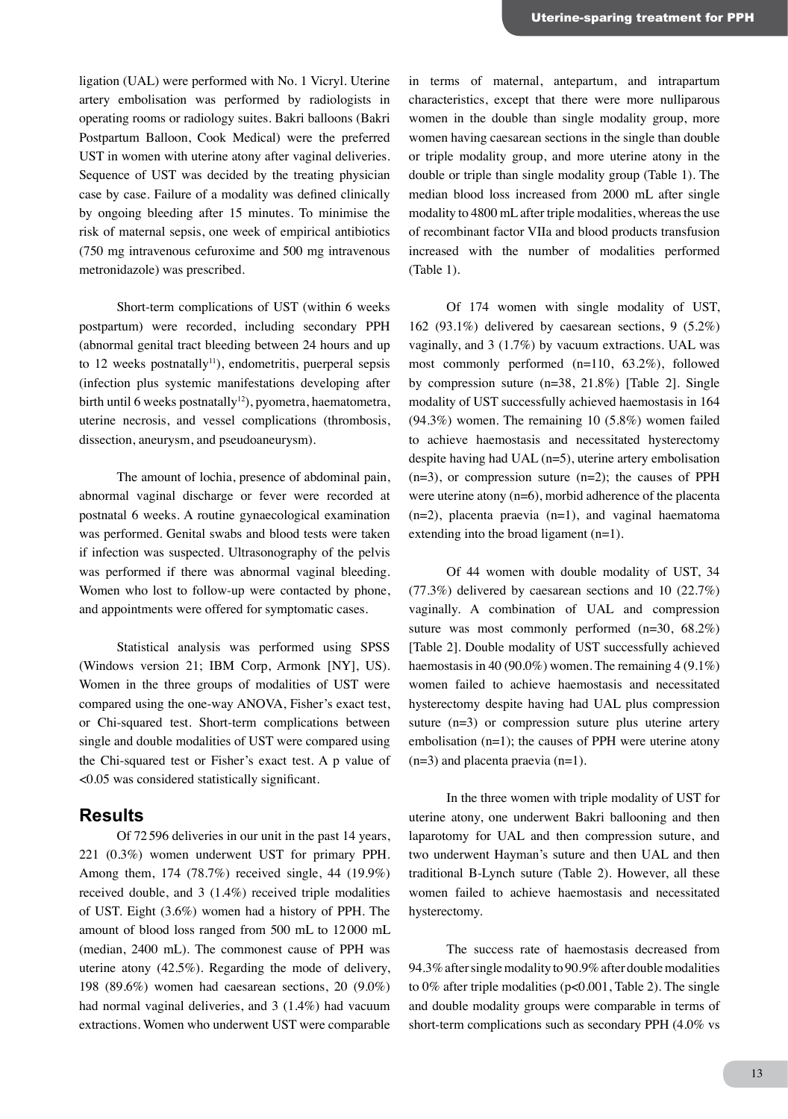ligation (UAL) were performed with No. 1 Vicryl. Uterine artery embolisation was performed by radiologists in operating rooms or radiology suites. Bakri balloons (Bakri Postpartum Balloon, Cook Medical) were the preferred UST in women with uterine atony after vaginal deliveries. Sequence of UST was decided by the treating physician case by case. Failure of a modality was defined clinically by ongoing bleeding after 15 minutes. To minimise the risk of maternal sepsis, one week of empirical antibiotics (750 mg intravenous cefuroxime and 500 mg intravenous metronidazole) was prescribed.

Short-term complications of UST (within 6 weeks postpartum) were recorded, including secondary PPH (abnormal genital tract bleeding between 24 hours and up to 12 weeks postnatally<sup>11</sup>), endometritis, puerperal sepsis (infection plus systemic manifestations developing after birth until 6 weeks postnatally<sup>12</sup>), pyometra, haematometra, uterine necrosis, and vessel complications (thrombosis, dissection, aneurysm, and pseudoaneurysm).

The amount of lochia, presence of abdominal pain, abnormal vaginal discharge or fever were recorded at postnatal 6 weeks. A routine gynaecological examination was performed. Genital swabs and blood tests were taken if infection was suspected. Ultrasonography of the pelvis was performed if there was abnormal vaginal bleeding. Women who lost to follow-up were contacted by phone, and appointments were offered for symptomatic cases.

Statistical analysis was performed using SPSS (Windows version 21; IBM Corp, Armonk [NY], US). Women in the three groups of modalities of UST were compared using the one-way ANOVA, Fisher's exact test, or Chi-squared test. Short-term complications between single and double modalities of UST were compared using the Chi-squared test or Fisher's exact test. A p value of <0.05 was considered statistically significant.

### **Results**

Of 72596 deliveries in our unit in the past 14 years, 221 (0.3%) women underwent UST for primary PPH. Among them, 174 (78.7%) received single, 44 (19.9%) received double, and 3 (1.4%) received triple modalities of UST. Eight (3.6%) women had a history of PPH. The amount of blood loss ranged from 500 mL to 12000 mL (median, 2400 mL). The commonest cause of PPH was uterine atony (42.5%). Regarding the mode of delivery, 198 (89.6%) women had caesarean sections, 20 (9.0%) had normal vaginal deliveries, and 3 (1.4%) had vacuum extractions. Women who underwent UST were comparable

in terms of maternal, antepartum, and intrapartum characteristics, except that there were more nulliparous women in the double than single modality group, more women having caesarean sections in the single than double or triple modality group, and more uterine atony in the double or triple than single modality group (Table 1). The median blood loss increased from 2000 mL after single modality to 4800 mL after triple modalities, whereas the use of recombinant factor VIIa and blood products transfusion increased with the number of modalities performed (Table 1).

Of 174 women with single modality of UST, 162 (93.1%) delivered by caesarean sections, 9 (5.2%) vaginally, and 3 (1.7%) by vacuum extractions. UAL was most commonly performed (n=110, 63.2%), followed by compression suture (n=38, 21.8%) [Table 2]. Single modality of UST successfully achieved haemostasis in 164 (94.3%) women. The remaining 10 (5.8%) women failed to achieve haemostasis and necessitated hysterectomy despite having had UAL (n=5), uterine artery embolisation  $(n=3)$ , or compression suture  $(n=2)$ ; the causes of PPH were uterine atony  $(n=6)$ , morbid adherence of the placenta  $(n=2)$ , placenta praevia  $(n=1)$ , and vaginal haematoma extending into the broad ligament  $(n=1)$ .

Of 44 women with double modality of UST, 34 (77.3%) delivered by caesarean sections and 10 (22.7%) vaginally. A combination of UAL and compression suture was most commonly performed (n=30, 68.2%) [Table 2]. Double modality of UST successfully achieved haemostasis in 40 (90.0%) women. The remaining 4 (9.1%) women failed to achieve haemostasis and necessitated hysterectomy despite having had UAL plus compression suture  $(n=3)$  or compression suture plus uterine artery embolisation  $(n=1)$ ; the causes of PPH were uterine atony  $(n=3)$  and placenta praevia  $(n=1)$ .

In the three women with triple modality of UST for uterine atony, one underwent Bakri ballooning and then laparotomy for UAL and then compression suture, and two underwent Hayman's suture and then UAL and then traditional B-Lynch suture (Table 2). However, all these women failed to achieve haemostasis and necessitated hysterectomy.

The success rate of haemostasis decreased from 94.3% after single modality to 90.9% after double modalities to 0% after triple modalities (p<0.001, Table 2). The single and double modality groups were comparable in terms of short-term complications such as secondary PPH (4.0% vs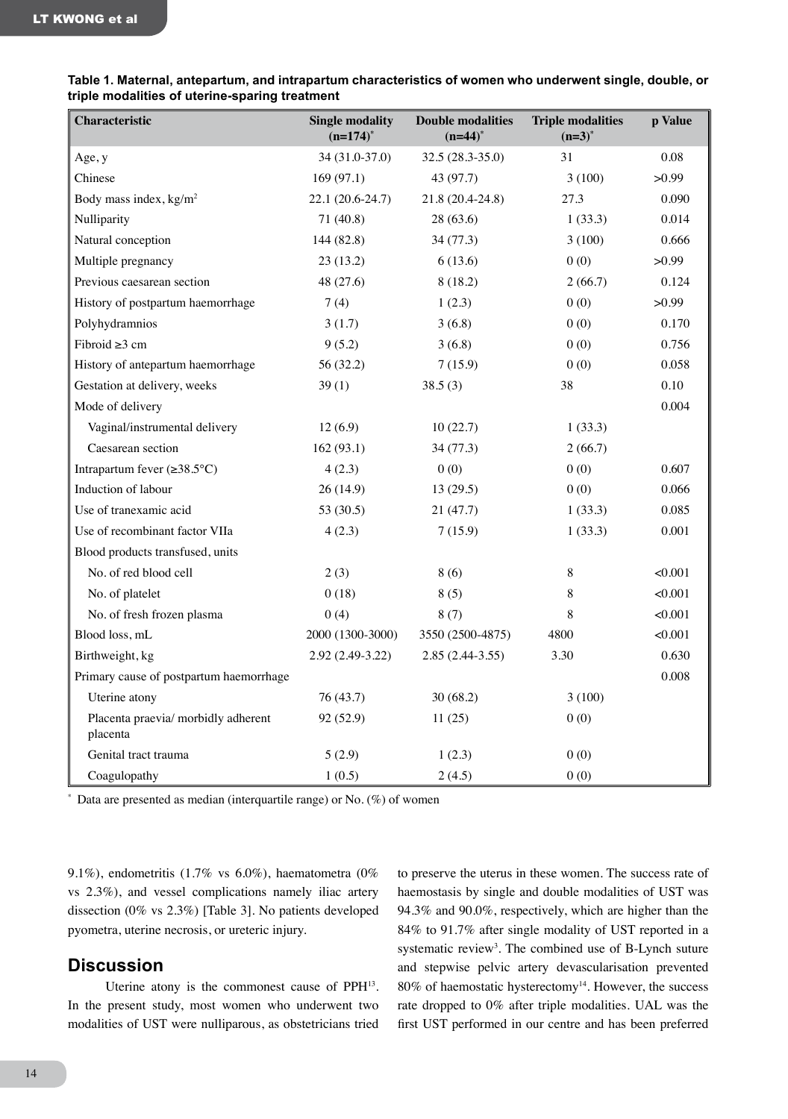| Characteristic                                  | <b>Single modality</b><br>$(n=174)^*$ | <b>Double modalities</b><br>$(n=44)^*$ | <b>Triple modalities</b><br>$(n=3)^*$ | p Value |
|-------------------------------------------------|---------------------------------------|----------------------------------------|---------------------------------------|---------|
| Age, y                                          | 34 (31.0-37.0)                        | 32.5 (28.3-35.0)                       | 31                                    | 0.08    |
| Chinese                                         | 169(97.1)                             | 43 (97.7)                              | 3(100)                                | >0.99   |
| Body mass index, kg/m <sup>2</sup>              | 22.1 (20.6-24.7)                      | 21.8 (20.4-24.8)                       | 27.3                                  | 0.090   |
| Nulliparity                                     | 71 (40.8)                             | 28(63.6)                               | 1(33.3)                               | 0.014   |
| Natural conception                              | 144 (82.8)                            | 34 (77.3)                              | 3(100)                                | 0.666   |
| Multiple pregnancy                              | 23(13.2)                              | 6(13.6)                                | 0(0)                                  | >0.99   |
| Previous caesarean section                      | 48 (27.6)                             | 8(18.2)                                | 2(66.7)                               | 0.124   |
| History of postpartum haemorrhage               | 7(4)                                  | 1(2.3)                                 | 0(0)                                  | >0.99   |
| Polyhydramnios                                  | 3(1.7)                                | 3(6.8)                                 | 0(0)                                  | 0.170   |
| Fibroid $\geq 3$ cm                             | 9(5.2)                                | 3(6.8)                                 | 0(0)                                  | 0.756   |
| History of antepartum haemorrhage               | 56 (32.2)                             | 7(15.9)                                | 0(0)                                  | 0.058   |
| Gestation at delivery, weeks                    | 39(1)                                 | 38.5(3)                                | 38                                    | 0.10    |
| Mode of delivery                                |                                       |                                        |                                       | 0.004   |
| Vaginal/instrumental delivery                   | 12(6.9)                               | 10(22.7)                               | 1(33.3)                               |         |
| Caesarean section                               | 162(93.1)                             | 34 (77.3)                              | 2(66.7)                               |         |
| Intrapartum fever $(\geq 38.5^{\circ}C)$        | 4(2.3)                                | 0(0)                                   | 0(0)                                  | 0.607   |
| Induction of labour                             | 26 (14.9)                             | 13(29.5)                               | 0(0)                                  | 0.066   |
| Use of tranexamic acid                          | 53 (30.5)                             | 21(47.7)                               | 1(33.3)                               | 0.085   |
| Use of recombinant factor VIIa                  | 4(2.3)                                | 7(15.9)                                | 1(33.3)                               | 0.001   |
| Blood products transfused, units                |                                       |                                        |                                       |         |
| No. of red blood cell                           | 2(3)                                  | 8(6)                                   | 8                                     | < 0.001 |
| No. of platelet                                 | 0(18)                                 | 8(5)                                   | 8                                     | < 0.001 |
| No. of fresh frozen plasma                      | 0(4)                                  | 8(7)                                   | 8                                     | < 0.001 |
| Blood loss, mL                                  | 2000 (1300-3000)                      | 3550 (2500-4875)                       | 4800                                  | <0.001  |
| Birthweight, kg                                 | 2.92 (2.49-3.22)                      | $2.85(2.44-3.55)$                      | 3.30                                  | 0.630   |
| Primary cause of postpartum haemorrhage         |                                       |                                        |                                       | 0.008   |
| Uterine atony                                   | 76 (43.7)                             | 30(68.2)                               | 3(100)                                |         |
| Placenta praevia/ morbidly adherent<br>placenta | 92 (52.9)                             | 11(25)                                 | 0(0)                                  |         |
| Genital tract trauma                            | 5(2.9)                                | 1(2.3)                                 | 0(0)                                  |         |
| Coagulopathy                                    | 1(0.5)                                | 2(4.5)                                 | 0(0)                                  |         |

| Table 1. Maternal, antepartum, and intrapartum characteristics of women who underwent single, double, or |  |  |  |
|----------------------------------------------------------------------------------------------------------|--|--|--|
| triple modalities of uterine-sparing treatment                                                           |  |  |  |

 $*$  Data are presented as median (interquartile range) or No. (%) of women

9.1%), endometritis (1.7% vs 6.0%), haematometra (0% vs 2.3%), and vessel complications namely iliac artery dissection (0% vs 2.3%) [Table 3]. No patients developed pyometra, uterine necrosis, or ureteric injury.

### **Discussion**

Uterine atony is the commonest cause of PPH13. In the present study, most women who underwent two modalities of UST were nulliparous, as obstetricians tried

to preserve the uterus in these women. The success rate of haemostasis by single and double modalities of UST was 94.3% and 90.0%, respectively, which are higher than the 84% to 91.7% after single modality of UST reported in a systematic review<sup>3</sup>. The combined use of B-Lynch suture and stepwise pelvic artery devascularisation prevented  $80\%$  of haemostatic hysterectomy<sup>14</sup>. However, the success rate dropped to 0% after triple modalities. UAL was the first UST performed in our centre and has been preferred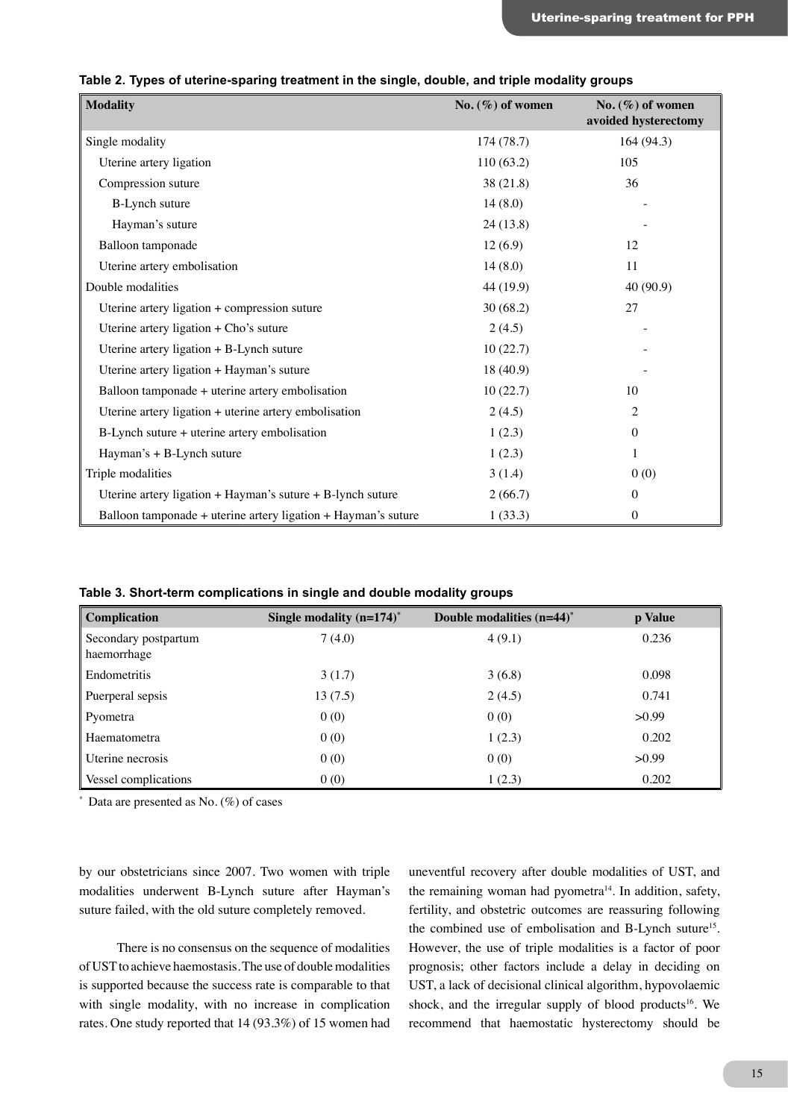| <b>Modality</b>                                                | No. $(\%)$ of women | No. $(\%)$ of women<br>avoided hysterectomy |
|----------------------------------------------------------------|---------------------|---------------------------------------------|
| Single modality                                                | 174(78.7)           | 164 (94.3)                                  |
| Uterine artery ligation                                        | 110(63.2)           | 105                                         |
| Compression suture                                             | 38 (21.8)           | 36                                          |
| <b>B-Lynch suture</b>                                          | 14(8.0)             |                                             |
| Hayman's suture                                                | 24(13.8)            |                                             |
| Balloon tamponade                                              | 12(6.9)             | 12                                          |
| Uterine artery embolisation                                    | 14(8.0)             | 11                                          |
| Double modalities                                              | 44 (19.9)           | 40 (90.9)                                   |
| Uterine artery ligation + compression suture                   | 30(68.2)            | 27                                          |
| Uterine artery ligation $+$ Cho's suture                       | 2(4.5)              |                                             |
| Uterine artery ligation + B-Lynch suture                       | 10(22.7)            |                                             |
| Uterine artery ligation + Hayman's suture                      | 18 (40.9)           |                                             |
| Balloon tamponade + uterine artery embolisation                | 10(22.7)            | 10                                          |
| Uterine artery ligation + uterine artery embolisation          | 2(4.5)              | 2                                           |
| B-Lynch suture + uterine artery embolisation                   | 1(2.3)              | $\mathbf{0}$                                |
| Hayman's + B-Lynch suture                                      | 1(2.3)              | $\mathbf{1}$                                |
| Triple modalities                                              | 3(1.4)              | 0(0)                                        |
| Uterine artery ligation $+$ Hayman's suture $+$ B-lynch suture | 2(66.7)             | $\mathbf{0}$                                |
| Balloon tamponade + uterine artery ligation + Hayman's suture  | 1(33.3)             | $\mathbf{0}$                                |

#### **Table 2. Types of uterine-sparing treatment in the single, double, and triple modality groups**

**Table 3. Short-term complications in single and double modality groups**

| Complication                        | Single modality $(n=174)^*$ | Double modalities $(n=44)^*$ | p Value |
|-------------------------------------|-----------------------------|------------------------------|---------|
| Secondary postpartum<br>haemorrhage | 7(4.0)                      | 4(9.1)                       | 0.236   |
| Endometritis                        | 3(1.7)                      | 3(6.8)                       | 0.098   |
| Puerperal sepsis                    | 13(7.5)                     | 2(4.5)                       | 0.741   |
| Pyometra                            | 0(0)                        | 0(0)                         | >0.99   |
| Haematometra                        | 0(0)                        | 1(2.3)                       | 0.202   |
| Uterine necrosis                    | 0(0)                        | 0(0)                         | >0.99   |
| Vessel complications                | 0(0)                        | 1(2.3)                       | 0.202   |

 $*$  Data are presented as No.  $(\%)$  of cases

by our obstetricians since 2007. Two women with triple modalities underwent B-Lynch suture after Hayman's suture failed, with the old suture completely removed.

There is no consensus on the sequence of modalities of UST to achieve haemostasis. The use of double modalities is supported because the success rate is comparable to that with single modality, with no increase in complication rates. One study reported that 14 (93.3%) of 15 women had uneventful recovery after double modalities of UST, and the remaining woman had pyometra<sup>14</sup>. In addition, safety, fertility, and obstetric outcomes are reassuring following the combined use of embolisation and B-Lynch suture<sup>15</sup>. However, the use of triple modalities is a factor of poor prognosis; other factors include a delay in deciding on UST, a lack of decisional clinical algorithm, hypovolaemic shock, and the irregular supply of blood products<sup>16</sup>. We recommend that haemostatic hysterectomy should be